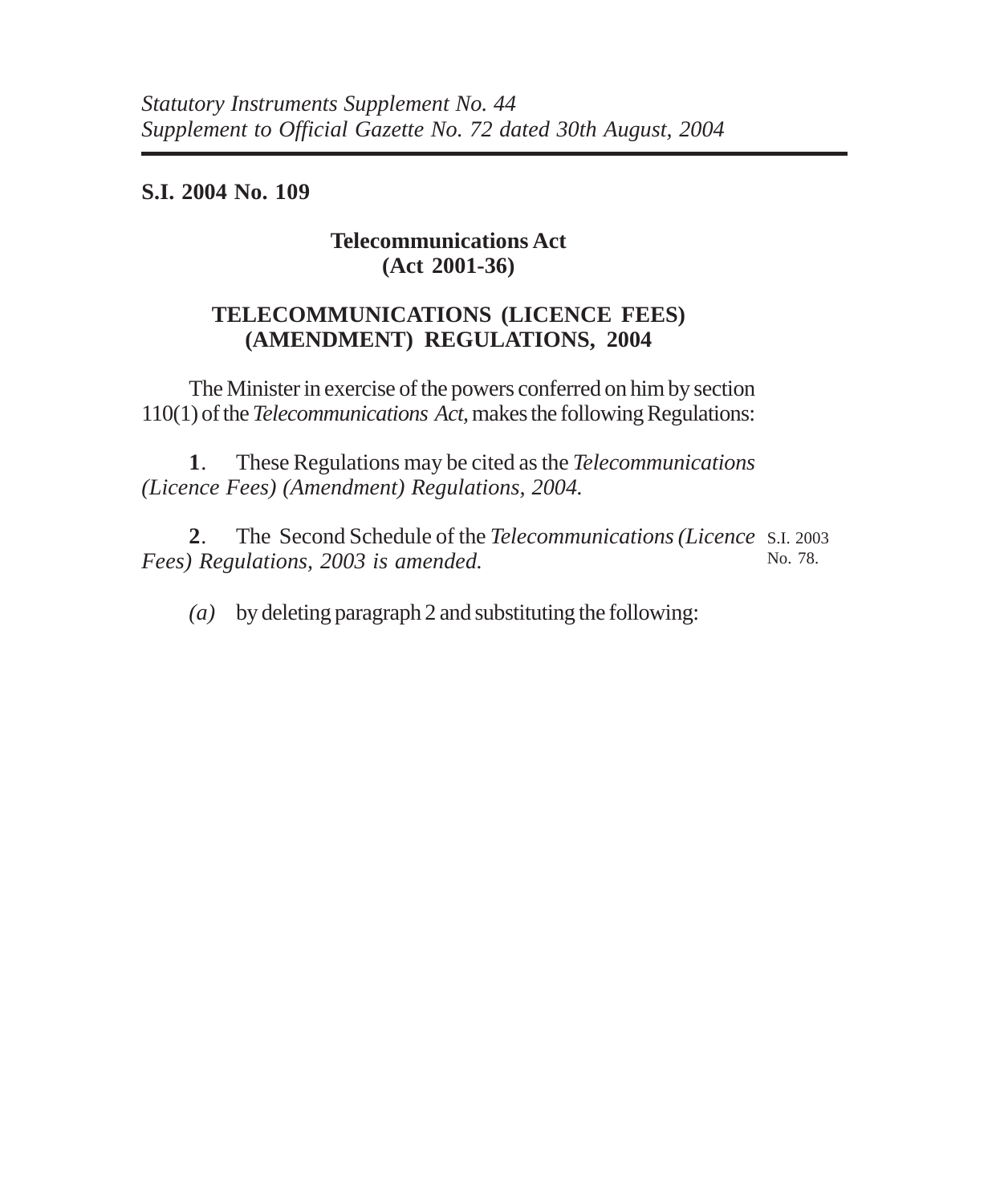**S.I. 2004 No. 109**

## **Telecommunications Act (Act 2001-36)**

## **TELECOMMUNICATIONS (LICENCE FEES) (AMENDMENT) REGULATIONS, 2004**

The Minister in exercise of the powers conferred on him by section 110(1) of the *Telecommunications Act,* makes the following Regulations:

**1**. These Regulations may be cited as the *Telecommunications (Licence Fees) (Amendment) Regulations, 2004.*

**2**. The Second Schedule of the *Telecommunications (Licence* S.I. 2003 *Fees) Regulations, 2003 is amended.* No. 78.

*(a)* by deleting paragraph 2 and substituting the following: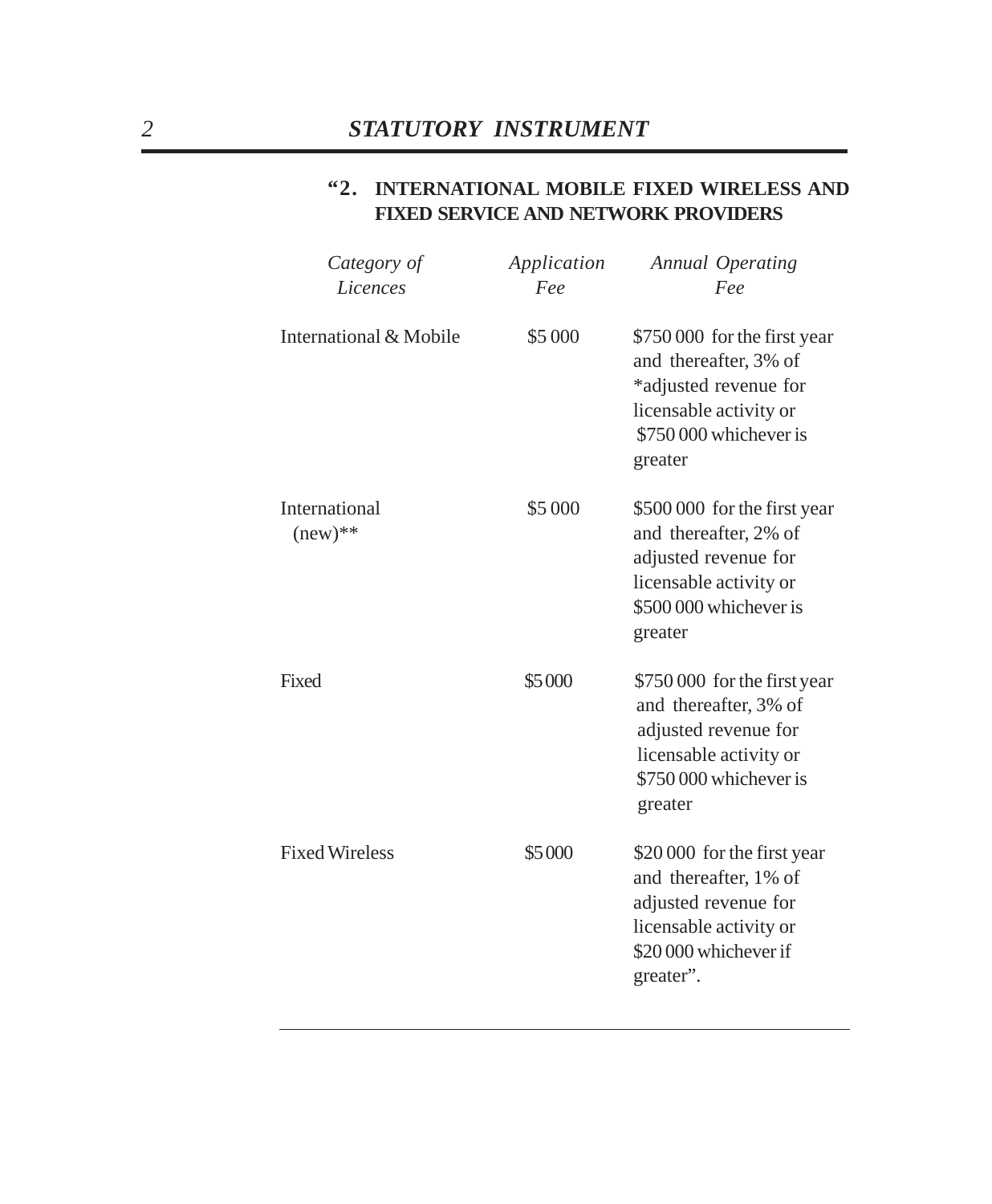### **"2. INTERNATIONAL MOBILE FIXED WIRELESS AND FIXED SERVICE AND NETWORK PROVIDERS**

| Category of                | Application | Annual Operating                                                                                                                              |
|----------------------------|-------------|-----------------------------------------------------------------------------------------------------------------------------------------------|
| Licences                   | Fee         | Fee                                                                                                                                           |
| International & Mobile     | \$5 000     | \$750 000 for the first year<br>and thereafter, 3% of<br>*adjusted revenue for<br>licensable activity or<br>\$750,000 whichever is<br>greater |
| International<br>$(new)**$ | \$5 000     | \$500 000 for the first year<br>and thereafter, 2% of<br>adjusted revenue for<br>licensable activity or<br>\$500 000 whichever is<br>greater  |
| Fixed                      | \$5000      | \$750 000 for the first year<br>and thereafter, 3% of<br>adjusted revenue for<br>licensable activity or<br>\$750 000 whichever is<br>greater  |
| <b>Fixed Wireless</b>      | \$5000      | \$20 000 for the first year<br>and thereafter, 1% of<br>adjusted revenue for<br>licensable activity or<br>\$20 000 whichever if<br>greater".  |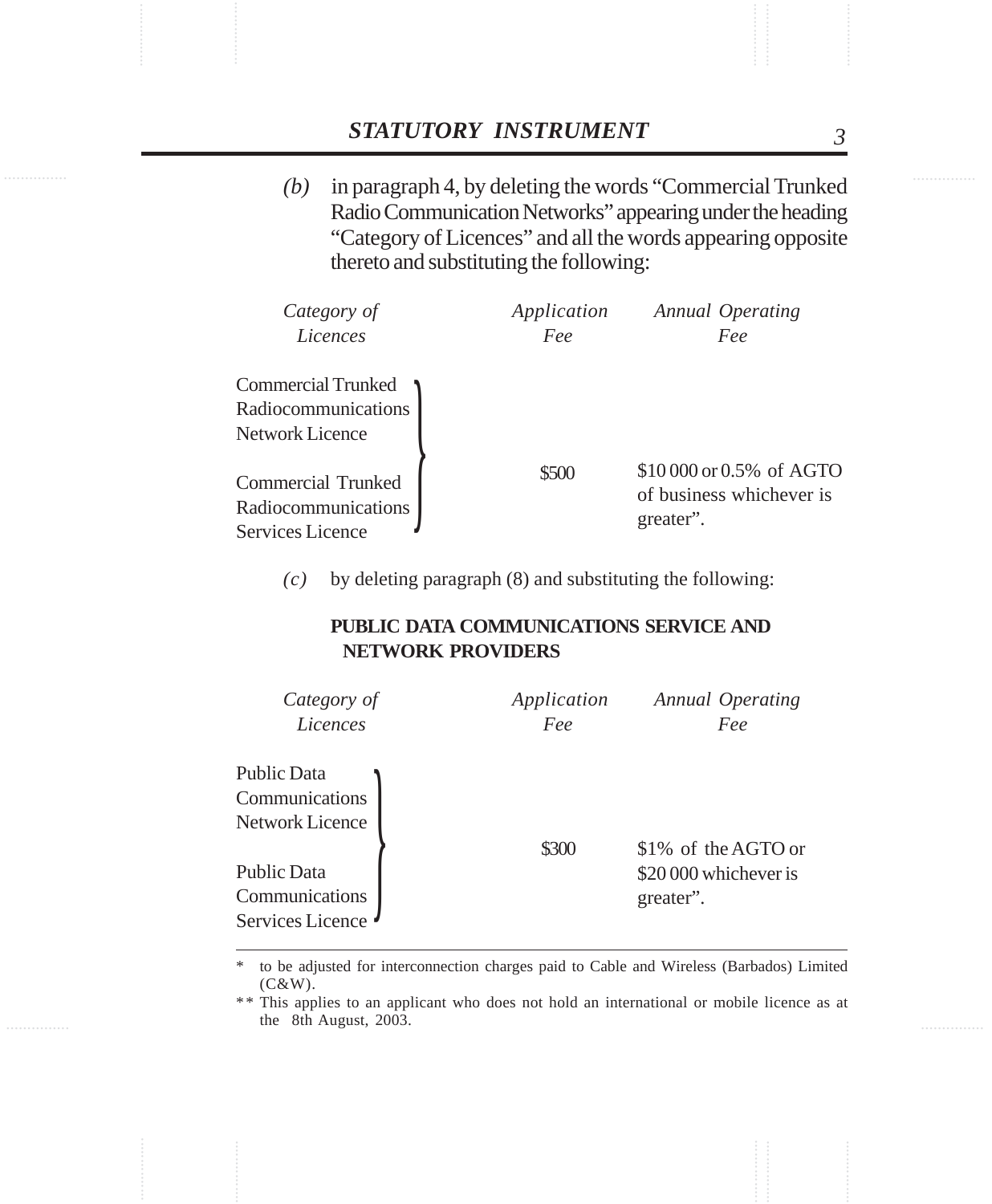*(b)* in paragraph 4, by deleting the words "Commercial Trunked Radio Communication Networks" appearing under the heading "Category of Licences" and all the words appearing opposite thereto and substituting the following:

| Category of                                                          | Application | Annual Operating                                                  |
|----------------------------------------------------------------------|-------------|-------------------------------------------------------------------|
| Licences                                                             | Fee         | Fee                                                               |
| Commercial Trunked<br>Radiocommunications<br>Network Licence         |             |                                                                   |
| Commercial Trunked<br>Radiocommunications<br><b>Services Licence</b> | \$500       | \$10 000 or 0.5% of AGTO<br>of business whichever is<br>greater". |

*(c)* by deleting paragraph (8) and substituting the following:

#### **PUBLIC DATA COMMUNICATIONS SERVICE AND NETWORK PROVIDERS**

| Category of<br>Licences                           | Application<br>Fee | Annual Operating<br>Fee            |
|---------------------------------------------------|--------------------|------------------------------------|
| Public Data<br>Communications<br>Network Licence  | \$300              | \$1% of the AGTO or                |
| Public Data<br>Communications<br>Services Licence |                    | \$20,000 whichever is<br>greater". |

to be adjusted for interconnection charges paid to Cable and Wireless (Barbados) Limited (C&W).

\*\* This applies to an applicant who does not hold an international or mobile licence as at the 8th August, 2003.